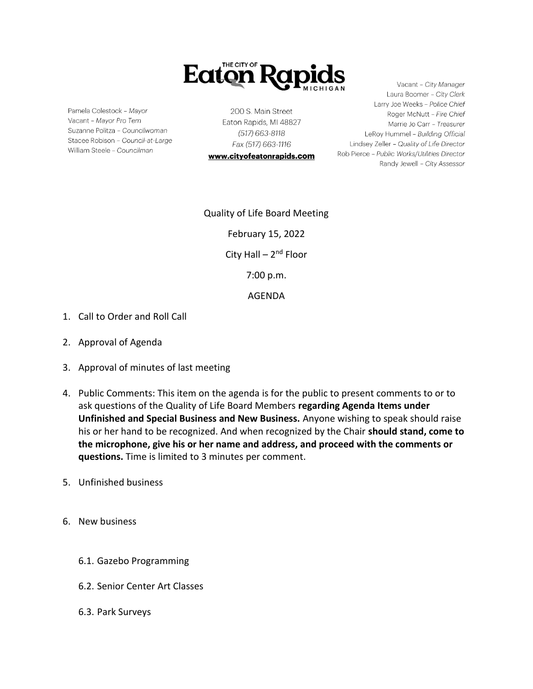

Pamela Colestock - Mayor Vacant - Mayor Pro Tem Suzanne Politza - Councilwoman Stacee Robison - Council-at-Large William Steele - Councilman

200 S. Main Street Eaton Rapids, MI 48827 (517) 663-8118 Fax (517) 663-1116

www.cityofeatonrapids.com

Vacant - City Manager Laura Boomer - City Clerk Larry Joe Weeks - Police Chief Roger McNutt - Fire Chief Marrie Jo Carr - Treasurer LeRoy Hummel - Building Official Lindsey Zeller - Quality of Life Director Rob Pierce - Public Works/Utilities Director Randy Jewell - City Assessor

Quality of Life Board Meeting February 15, 2022 City Hall – 2<sup>nd</sup> Floor 7:00 p.m. AGENDA

- 1. Call to Order and Roll Call
- 2. Approval of Agenda
- 3. Approval of minutes of last meeting
- 4. Public Comments: This item on the agenda is for the public to present comments to or to ask questions of the Quality of Life Board Members **regarding Agenda Items under Unfinished and Special Business and New Business.** Anyone wishing to speak should raise his or her hand to be recognized. And when recognized by the Chair **should stand, come to the microphone, give his or her name and address, and proceed with the comments or questions.** Time is limited to 3 minutes per comment.
- 5. Unfinished business
- 6. New business
	- 6.1. Gazebo Programming
	- 6.2. Senior Center Art Classes
	- 6.3. Park Surveys